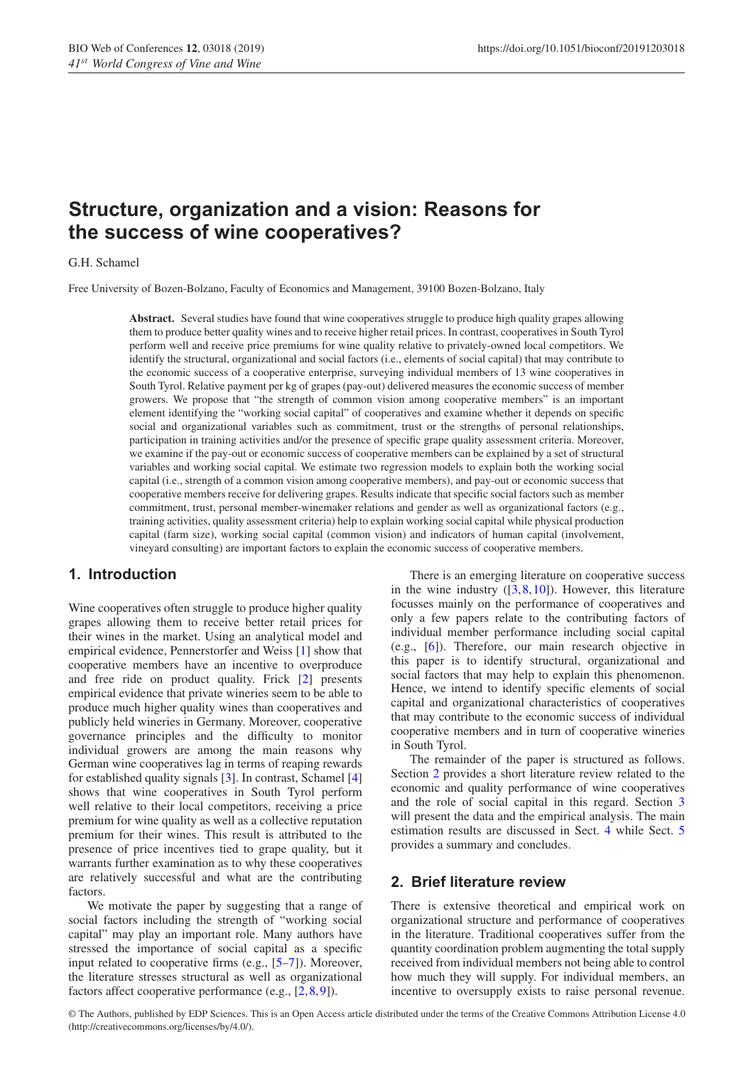# **Structure, organization and a vision: Reasons for the success of wine cooperatives?**

G.H. Schamel

Free University of Bozen-Bolzano, Faculty of Economics and Management, 39100 Bozen-Bolzano, Italy

**Abstract.** Several studies have found that wine cooperatives struggle to produce high quality grapes allowing them to produce better quality wines and to receive higher retail prices. In contrast, cooperatives in South Tyrol perform well and receive price premiums for wine quality relative to privately-owned local competitors. We identify the structural, organizational and social factors (i.e., elements of social capital) that may contribute to the economic success of a cooperative enterprise, surveying individual members of 13 wine cooperatives in South Tyrol. Relative payment per kg of grapes (pay-out) delivered measures the economic success of member growers. We propose that "the strength of common vision among cooperative members" is an important element identifying the "working social capital" of cooperatives and examine whether it depends on specific social and organizational variables such as commitment, trust or the strengths of personal relationships, participation in training activities and/or the presence of specific grape quality assessment criteria. Moreover, we examine if the pay-out or economic success of cooperative members can be explained by a set of structural variables and working social capital. We estimate two regression models to explain both the working social capital (i.e., strength of a common vision among cooperative members), and pay-out or economic success that cooperative members receive for delivering grapes. Results indicate that specific social factors such as member commitment, trust, personal member-winemaker relations and gender as well as organizational factors (e.g., training activities, quality assessment criteria) help to explain working social capital while physical production capital (farm size), working social capital (common vision) and indicators of human capital (involvement, vineyard consulting) are important factors to explain the economic success of cooperative members.

## **1. Introduction**

Wine cooperatives often struggle to produce higher quality grapes allowing them to receive better retail prices for their wines in the market. Using an analytical model and empirical evidence, Pennerstorfer and Weiss [\[1](#page-3-0)] show that cooperative members have an incentive to overproduce and free ride on product quality. Frick [\[2\]](#page-3-1) presents empirical evidence that private wineries seem to be able to produce much higher quality wines than cooperatives and publicly held wineries in Germany. Moreover, cooperative governance principles and the difficulty to monitor individual growers are among the main reasons why German wine cooperatives lag in terms of reaping rewards for established quality signals [\[3\]](#page-3-2). In contrast, Schamel [\[4\]](#page-3-3) shows that wine cooperatives in South Tyrol perform well relative to their local competitors, receiving a price premium for wine quality as well as a collective reputation premium for their wines. This result is attributed to the presence of price incentives tied to grape quality, but it warrants further examination as to why these cooperatives are relatively successful and what are the contributing factors.

We motivate the paper by suggesting that a range of social factors including the strength of "working social capital" may play an important role. Many authors have stressed the importance of social capital as a specific input related to cooperative firms (e.g., [\[5](#page-4-0)[–7](#page-4-1)]). Moreover, the literature stresses structural as well as organizational factors affect cooperative performance (e.g., [\[2](#page-3-1)[,8](#page-4-2),[9\]](#page-4-3)).

There is an emerging literature on cooperative success in the wine industry  $([3,8,10])$  $([3,8,10])$  $([3,8,10])$  $([3,8,10])$  $([3,8,10])$  $([3,8,10])$ . However, this literature focusses mainly on the performance of cooperatives and only a few papers relate to the contributing factors of individual member performance including social capital (e.g., [\[6\]](#page-4-5)). Therefore, our main research objective in this paper is to identify structural, organizational and social factors that may help to explain this phenomenon. Hence, we intend to identify specific elements of social capital and organizational characteristics of cooperatives that may contribute to the economic success of individual cooperative members and in turn of cooperative wineries in South Tyrol.

The remainder of the paper is structured as follows. Section [2](#page-0-0) provides a short literature review related to the economic and quality performance of wine cooperatives and the role of social capital in this regard. Section [3](#page-1-0) will present the data and the empirical analysis. The main estimation results are discussed in Sect. [4](#page-2-0) while Sect. [5](#page-3-4) provides a summary and concludes.

## <span id="page-0-0"></span>**2. Brief literature review**

There is extensive theoretical and empirical work on organizational structure and performance of cooperatives in the literature. Traditional cooperatives suffer from the quantity coordination problem augmenting the total supply received from individual members not being able to control how much they will supply. For individual members, an incentive to oversupply exists to raise personal revenue.

© The Authors, published by EDP Sciences. This is an Open Access article distributed under the terms of the Creative Commons Attribution License 4.0 (http://creativecommons.org/licenses/by/4.0/).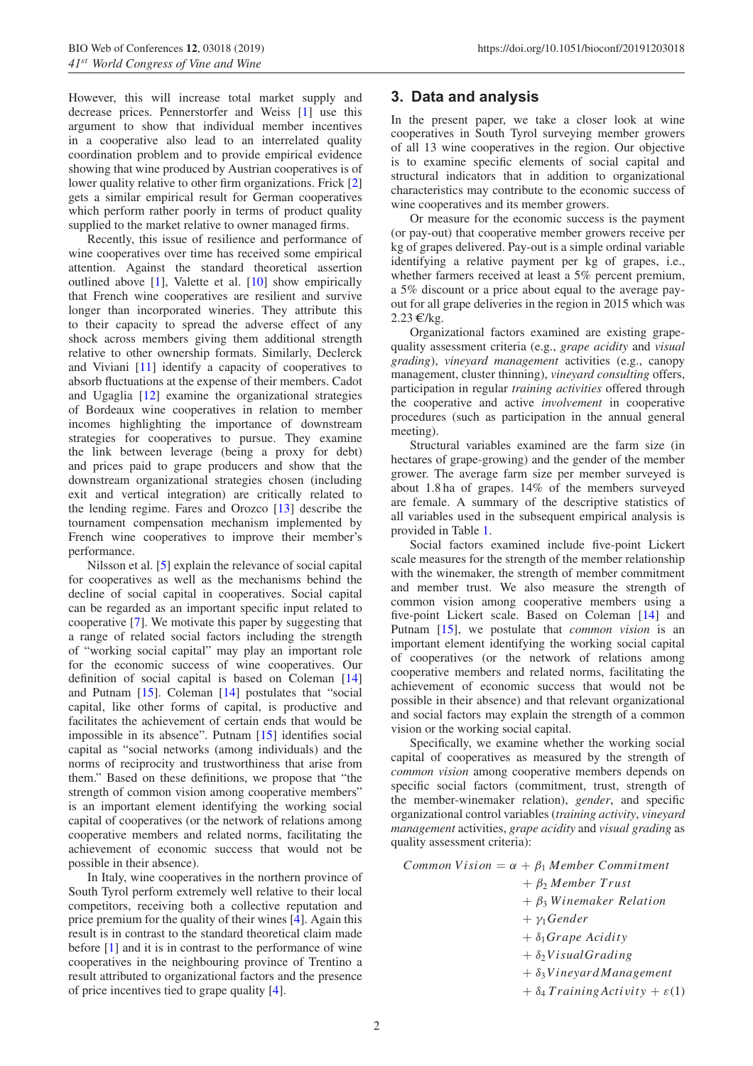However, this will increase total market supply and decrease prices. Pennerstorfer and Weiss [\[1\]](#page-3-0) use this argument to show that individual member incentives in a cooperative also lead to an interrelated quality coordination problem and to provide empirical evidence showing that wine produced by Austrian cooperatives is of lower quality relative to other firm organizations. Frick [\[2\]](#page-3-1) gets a similar empirical result for German cooperatives which perform rather poorly in terms of product quality supplied to the market relative to owner managed firms.

Recently, this issue of resilience and performance of wine cooperatives over time has received some empirical attention. Against the standard theoretical assertion outlined above [\[1](#page-3-0)], Valette et al. [\[10](#page-4-4)] show empirically that French wine cooperatives are resilient and survive longer than incorporated wineries. They attribute this to their capacity to spread the adverse effect of any shock across members giving them additional strength relative to other ownership formats. Similarly, Declerck and Viviani [\[11](#page-4-6)] identify a capacity of cooperatives to absorb fluctuations at the expense of their members. Cadot and Ugaglia [\[12](#page-4-7)] examine the organizational strategies of Bordeaux wine cooperatives in relation to member incomes highlighting the importance of downstream strategies for cooperatives to pursue. They examine the link between leverage (being a proxy for debt) and prices paid to grape producers and show that the downstream organizational strategies chosen (including exit and vertical integration) are critically related to the lending regime. Fares and Orozco [\[13](#page-4-8)] describe the tournament compensation mechanism implemented by French wine cooperatives to improve their member's performance.

Nilsson et al. [\[5\]](#page-4-0) explain the relevance of social capital for cooperatives as well as the mechanisms behind the decline of social capital in cooperatives. Social capital can be regarded as an important specific input related to cooperative [\[7](#page-4-1)]. We motivate this paper by suggesting that a range of related social factors including the strength of "working social capital" may play an important role for the economic success of wine cooperatives. Our definition of social capital is based on Coleman [\[14\]](#page-4-9) and Putnam [\[15\]](#page-4-10). Coleman [\[14](#page-4-9)] postulates that "social capital, like other forms of capital, is productive and facilitates the achievement of certain ends that would be impossible in its absence". Putnam [\[15\]](#page-4-10) identifies social capital as "social networks (among individuals) and the norms of reciprocity and trustworthiness that arise from them." Based on these definitions, we propose that "the strength of common vision among cooperative members" is an important element identifying the working social capital of cooperatives (or the network of relations among cooperative members and related norms, facilitating the achievement of economic success that would not be possible in their absence).

In Italy, wine cooperatives in the northern province of South Tyrol perform extremely well relative to their local competitors, receiving both a collective reputation and price premium for the quality of their wines [\[4](#page-3-3)]. Again this result is in contrast to the standard theoretical claim made before [\[1\]](#page-3-0) and it is in contrast to the performance of wine cooperatives in the neighbouring province of Trentino a result attributed to organizational factors and the presence of price incentives tied to grape quality [\[4\]](#page-3-3).

# <span id="page-1-0"></span>**3. Data and analysis**

In the present paper, we take a closer look at wine cooperatives in South Tyrol surveying member growers of all 13 wine cooperatives in the region. Our objective is to examine specific elements of social capital and structural indicators that in addition to organizational characteristics may contribute to the economic success of wine cooperatives and its member growers.

Or measure for the economic success is the payment (or pay-out) that cooperative member growers receive per kg of grapes delivered. Pay-out is a simple ordinal variable identifying a relative payment per kg of grapes, i.e., whether farmers received at least a 5% percent premium, a 5% discount or a price about equal to the average payout for all grape deliveries in the region in 2015 which was  $2.23 \text{ E/kg}$ .

Organizational factors examined are existing grapequality assessment criteria (e.g., *grape acidity* and *visual grading*), *vineyard management* activities (e.g., canopy management, cluster thinning), *vineyard consulting* offers, participation in regular *training activities* offered through the cooperative and active *involvement* in cooperative procedures (such as participation in the annual general meeting).

Structural variables examined are the farm size (in hectares of grape-growing) and the gender of the member grower. The average farm size per member surveyed is about 1.8 ha of grapes. 14% of the members surveyed are female. A summary of the descriptive statistics of all variables used in the subsequent empirical analysis is provided in Table [1.](#page-2-1)

Social factors examined include five-point Lickert scale measures for the strength of the member relationship with the winemaker, the strength of member commitment and member trust. We also measure the strength of common vision among cooperative members using a five-point Lickert scale. Based on Coleman [\[14\]](#page-4-9) and Putnam [\[15\]](#page-4-10), we postulate that *common vision* is an important element identifying the working social capital of cooperatives (or the network of relations among cooperative members and related norms, facilitating the achievement of economic success that would not be possible in their absence) and that relevant organizational and social factors may explain the strength of a common vision or the working social capital.

Specifically, we examine whether the working social capital of cooperatives as measured by the strength of *common vision* among cooperative members depends on specific social factors (commitment, trust, strength of the member-winemaker relation), *gender*, and specific organizational control variables (*training activity*, *vineyard management* activities, *grape acidity* and *visual grading* as quality assessment criteria):

<span id="page-1-1"></span>*Common Vision* =  $\alpha + \beta_1$  *Member Commitment* + β<sup>2</sup> *Member T r ust*

- + β<sup>3</sup> *Winemaker Relation*
- + γ1*Gender*
- + δ1*Grape Acidity*
- $+ \delta_2 V$ *isualGrading*
- + δ3*VineyardManagement*
- $+ \delta_4$  *Training Activity*  $+ \varepsilon(1)$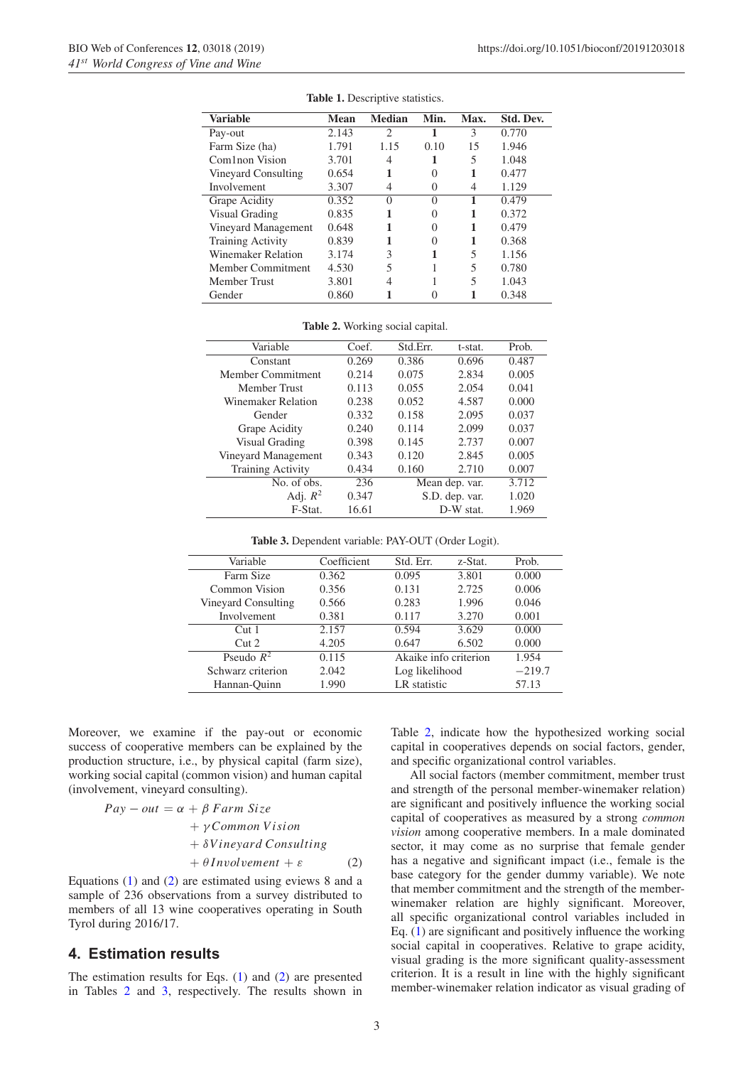| <b>Variable</b>          | <b>Mean</b> | <b>Median</b> | Min.     | Max. | Std. Dev. |
|--------------------------|-------------|---------------|----------|------|-----------|
| Pay-out                  | 2.143       | 2             | 1        | 3    | 0.770     |
| Farm Size (ha)           | 1.791       | 1.15          | 0.10     | 15   | 1.946     |
| Com1non Vision           | 3.701       | 4             |          | 5    | 1.048     |
| Vineyard Consulting      | 0.654       |               | 0        |      | 0.477     |
| Involvement              | 3.307       | 4             | 0        | 4    | 1.129     |
| Grape Acidity            | 0.352       | $\Omega$      | $\Omega$ | 1    | 0.479     |
| Visual Grading           | 0.835       | 1             | 0        | 1    | 0.372     |
| Vineyard Management      | 0.648       |               | 0        | 1    | 0.479     |
| <b>Training Activity</b> | 0.839       |               | 0        | 1    | 0.368     |
| Winemaker Relation       | 3.174       | 3             |          | 5    | 1.156     |
| Member Commitment        | 4.530       | 5             |          | 5    | 0.780     |
| Member Trust             | 3.801       | 4             |          | 5    | 1.043     |
| Gender                   | 0.860       |               |          |      | 0.348     |

<span id="page-2-1"></span>**Table 1.** Descriptive statistics.

<span id="page-2-3"></span>

| Variable      | Coef. | Std.Err. | t-stat. | Prob. |
|---------------|-------|----------|---------|-------|
| Constant      | 0.269 | 0.386    | 0.696   | 0.487 |
| er Commitment | 0.214 | 0.075    | 2.834   | 0.005 |
| mber Trust    | 0.113 | 0.055    | 2.054   | 0.041 |
| $1 \cdot 1$   | 0.220 | 0.052    | 1.507   | 0.000 |

**Table 2.** Working social capital.

| 0.269 | 0.386          | 0.696 | 0.487 |
|-------|----------------|-------|-------|
| 0.214 | 0.075          | 2.834 | 0.005 |
| 0.113 | 0.055          | 2.054 | 0.041 |
| 0.238 | 0.052          | 4.587 | 0.000 |
| 0.332 | 0.158          | 2.095 | 0.037 |
| 0.240 | 0.114          | 2.099 | 0.037 |
| 0.398 | 0.145          | 2.737 | 0.007 |
| 0.343 | 0.120          | 2.845 | 0.005 |
| 0.434 | 0.160          | 2.710 | 0.007 |
| 236   | Mean dep. var. |       | 3.712 |
| 0.347 | S.D. dep. var. |       | 1.020 |
| 16.61 | D-W stat.      |       | 1.969 |
|       |                |       |       |

**Table 3.** Dependent variable: PAY-OUT (Order Logit).

<span id="page-2-4"></span>

| Variable            | Coefficient | Std. Err.    | z-Stat.               | Prob. |
|---------------------|-------------|--------------|-----------------------|-------|
| Farm Size           | 0.362       | 0.095        | 3.801                 | 0.000 |
| Common Vision       | 0.356       | 0.131        | 2.725                 | 0.006 |
| Vineyard Consulting | 0.566       | 0.283        | 1.996                 | 0.046 |
| <b>Involvement</b>  | 0.381       | 0.117        | 3.270                 | 0.001 |
| Cut <sub>1</sub>    | 2.157       | 0.594        | 3.629                 | 0.000 |
| Cut <sub>2</sub>    | 4.205       | 0.647        | 6.502                 | 0.000 |
| Pseudo $R^2$        | 0.115       |              | Akaike info criterion |       |
| Schwarz criterion   | 2.042       |              | Log likelihood        |       |
| Hannan-Ouinn        | 1.990       | LR statistic |                       | 57.13 |

Moreover, we examine if the pay-out or economic success of cooperative members can be explained by the production structure, i.e., by physical capital (farm size), working social capital (common vision) and human capital (involvement, vineyard consulting).

<span id="page-2-2"></span>
$$
Pay - out = \alpha + \beta \operatorname{Farm}\n \operatorname{Size}\n \n + \gamma \operatorname{Common}\n \operatorname{Vision}\n \n + \delta \operatorname{Vine}\n \operatorname{grad}\n \operatorname{Consulting}\n \n + \theta \operatorname{Involvement} + \varepsilon
$$
\n(2)

Equations [\(1\)](#page-1-1) and [\(2\)](#page-2-2) are estimated using eviews 8 and a sample of 236 observations from a survey distributed to members of all 13 wine cooperatives operating in South Tyrol during 2016/17.

#### <span id="page-2-0"></span>**4. Estimation results**

The estimation results for Eqs. [\(1\)](#page-1-1) and [\(2\)](#page-2-2) are presented in Tables [2](#page-2-3) and [3,](#page-2-4) respectively. The results shown in Table [2,](#page-2-3) indicate how the hypothesized working social capital in cooperatives depends on social factors, gender, and specific organizational control variables.

All social factors (member commitment, member trust and strength of the personal member-winemaker relation) are significant and positively influence the working social capital of cooperatives as measured by a strong *common vision* among cooperative members. In a male dominated sector, it may come as no surprise that female gender has a negative and significant impact (i.e., female is the base category for the gender dummy variable). We note that member commitment and the strength of the memberwinemaker relation are highly significant. Moreover, all specific organizational control variables included in Eq. [\(1\)](#page-1-1) are significant and positively influence the working social capital in cooperatives. Relative to grape acidity, visual grading is the more significant quality-assessment criterion. It is a result in line with the highly significant member-winemaker relation indicator as visual grading of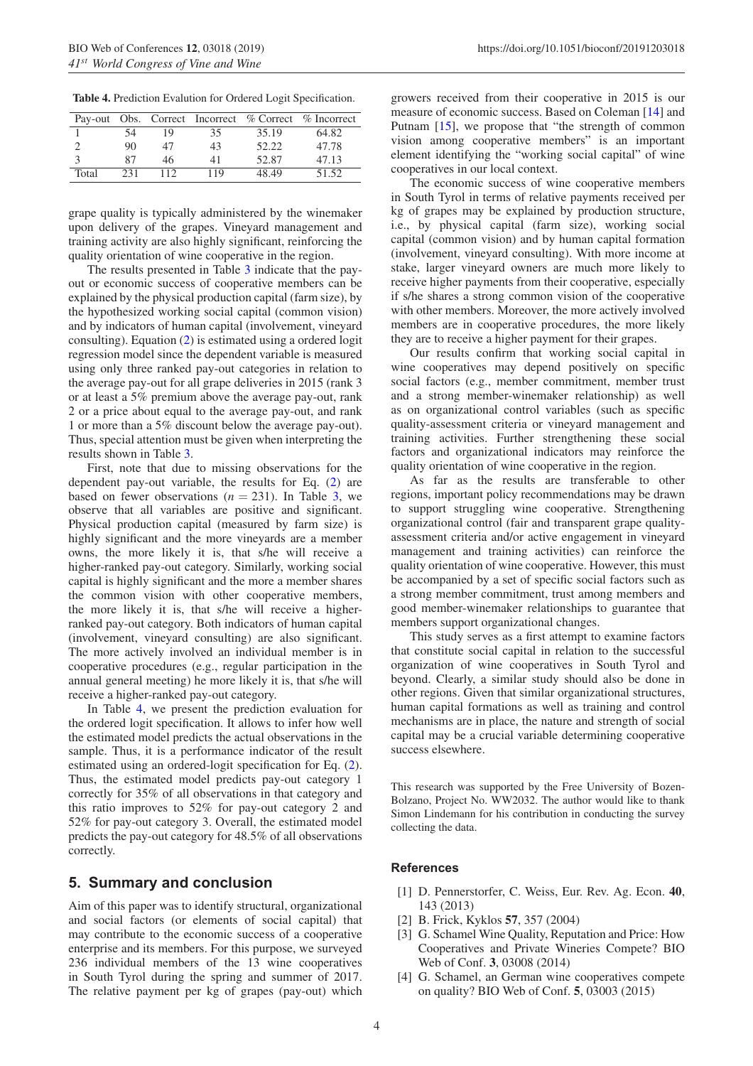<span id="page-3-5"></span>**Table 4.** Prediction Evalution for Ordered Logit Specification.

|       |     |     |     |       | Pay-out Obs. Correct Incorrect % Correct % Incorrect |
|-------|-----|-----|-----|-------|------------------------------------------------------|
|       | 54  | 19  | 35  | 35.19 | 64.82                                                |
|       | 90  | 47  | 43  | 52.22 | 47.78                                                |
| 3     | 87  | 46  | 41  | 52.87 | 47.13                                                |
| Total | 231 | 112 | 119 | 48.49 | 51.52                                                |

grape quality is typically administered by the winemaker upon delivery of the grapes. Vineyard management and training activity are also highly significant, reinforcing the quality orientation of wine cooperative in the region.

The results presented in Table [3](#page-2-4) indicate that the payout or economic success of cooperative members can be explained by the physical production capital (farm size), by the hypothesized working social capital (common vision) and by indicators of human capital (involvement, vineyard consulting). Equation  $(2)$  is estimated using a ordered logit regression model since the dependent variable is measured using only three ranked pay-out categories in relation to the average pay-out for all grape deliveries in 2015 (rank 3 or at least a 5% premium above the average pay-out, rank 2 or a price about equal to the average pay-out, and rank 1 or more than a 5% discount below the average pay-out). Thus, special attention must be given when interpreting the results shown in Table [3.](#page-2-4)

First, note that due to missing observations for the dependent pay-out variable, the results for Eq. [\(2\)](#page-2-2) are based on fewer observations  $(n = 231)$ . In Table [3,](#page-2-4) we observe that all variables are positive and significant. Physical production capital (measured by farm size) is highly significant and the more vineyards are a member owns, the more likely it is, that s/he will receive a higher-ranked pay-out category. Similarly, working social capital is highly significant and the more a member shares the common vision with other cooperative members, the more likely it is, that s/he will receive a higherranked pay-out category. Both indicators of human capital (involvement, vineyard consulting) are also significant. The more actively involved an individual member is in cooperative procedures (e.g., regular participation in the annual general meeting) he more likely it is, that s/he will receive a higher-ranked pay-out category.

In Table [4,](#page-3-5) we present the prediction evaluation for the ordered logit specification. It allows to infer how well the estimated model predicts the actual observations in the sample. Thus, it is a performance indicator of the result estimated using an ordered-logit specification for Eq. [\(2\)](#page-2-2). Thus, the estimated model predicts pay-out category 1 correctly for 35% of all observations in that category and this ratio improves to 52% for pay-out category 2 and 52% for pay-out category 3. Overall, the estimated model predicts the pay-out category for 48.5% of all observations correctly.

#### <span id="page-3-4"></span>**5. Summary and conclusion**

Aim of this paper was to identify structural, organizational and social factors (or elements of social capital) that may contribute to the economic success of a cooperative enterprise and its members. For this purpose, we surveyed 236 individual members of the 13 wine cooperatives in South Tyrol during the spring and summer of 2017. The relative payment per kg of grapes (pay-out) which growers received from their cooperative in 2015 is our measure of economic success. Based on Coleman [\[14](#page-4-9)] and Putnam [\[15\]](#page-4-10), we propose that "the strength of common vision among cooperative members" is an important element identifying the "working social capital" of wine cooperatives in our local context.

The economic success of wine cooperative members in South Tyrol in terms of relative payments received per kg of grapes may be explained by production structure, i.e., by physical capital (farm size), working social capital (common vision) and by human capital formation (involvement, vineyard consulting). With more income at stake, larger vineyard owners are much more likely to receive higher payments from their cooperative, especially if s/he shares a strong common vision of the cooperative with other members. Moreover, the more actively involved members are in cooperative procedures, the more likely they are to receive a higher payment for their grapes.

Our results confirm that working social capital in wine cooperatives may depend positively on specific social factors (e.g., member commitment, member trust and a strong member-winemaker relationship) as well as on organizational control variables (such as specific quality-assessment criteria or vineyard management and training activities. Further strengthening these social factors and organizational indicators may reinforce the quality orientation of wine cooperative in the region.

As far as the results are transferable to other regions, important policy recommendations may be drawn to support struggling wine cooperative. Strengthening organizational control (fair and transparent grape qualityassessment criteria and/or active engagement in vineyard management and training activities) can reinforce the quality orientation of wine cooperative. However, this must be accompanied by a set of specific social factors such as a strong member commitment, trust among members and good member-winemaker relationships to guarantee that members support organizational changes.

This study serves as a first attempt to examine factors that constitute social capital in relation to the successful organization of wine cooperatives in South Tyrol and beyond. Clearly, a similar study should also be done in other regions. Given that similar organizational structures, human capital formations as well as training and control mechanisms are in place, the nature and strength of social capital may be a crucial variable determining cooperative success elsewhere.

This research was supported by the Free University of Bozen-Bolzano, Project No. WW2032. The author would like to thank Simon Lindemann for his contribution in conducting the survey collecting the data.

#### <span id="page-3-0"></span>**References**

- [1] D. Pennerstorfer, C. Weiss, Eur. Rev. Ag. Econ. **40**, 143 (2013)
- <span id="page-3-1"></span>[2] B. Frick, Kyklos **57**, 357 (2004)
- <span id="page-3-2"></span>[3] G. Schamel Wine Quality, Reputation and Price: How Cooperatives and Private Wineries Compete? BIO Web of Conf. **3**, 03008 (2014)
- <span id="page-3-3"></span>[4] G. Schamel, an German wine cooperatives compete on quality? BIO Web of Conf. **5**, 03003 (2015)